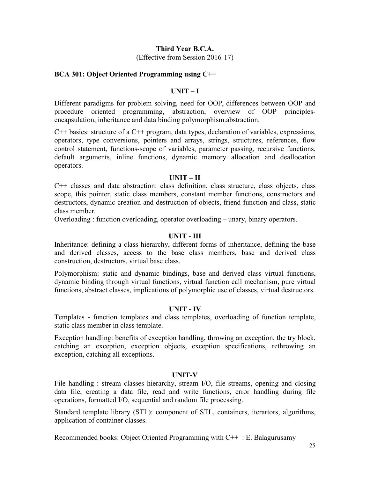## **Third Year B.C.A.**

(Effective from Session 2016-17)

### **BCA 301: Object Oriented Programming using C++**

#### **UNIT – I**

Different paradigms for problem solving, need for OOP, differences between OOP and procedure oriented programming, abstraction, overview of OOP principlesprocedure oriented programming, abstraction, overview of OOP principlesencapsulation, inheritance and data binding polymorphism.abstraction.

 $C++$  basics: structure of a  $C++$  program, data types, declaration of variables, expressions, operators, type conversions, pointers and arrays, strings, structures, references, flow control statement, functions-scope of variables, parameter passing, recursive functions, default arguments, inline functions, dynamic memory allocation and deallocation operators.

#### **UNIT – II**

C++ classes and data abstraction: class definition, class structure, class objects, class scope, this pointer, static class members, constant member functions, constructors and destructors, dynamic creation and destruction of objects, friend function and class, static class member.

Overloading : function overloading, operator overloading – unary, binary operators.

### **UNIT - III**

Inheritance: defining a class hierarchy, different forms of inheritance, defining the base and derived classes, access to the base class members, base and derived class construction, destructors, virtual base class.

Polymorphism: static and dynamic bindings, base and derived class virtual functions, dynamic binding through virtual functions, virtual function call mechanism, pure virtual functions, abstract classes, implications of polymorphic use of classes, virtual destructors.

#### **UNIT - IV**

Templates - function templates and class templates, overloading of function template, static class member in class template.

Exception handling: benefits of exception handling, throwing an exception, the try block, catching an exception, exception objects, exception specifications, rethrowing an exception, catching all exceptions.

#### **UNIT-V**

File handling : stream classes hierarchy, stream I/O, file streams, opening and closing data file, creating a data file, read and write functions, error handling during file operations, formatted I/O, sequential and random file processing.

Standard template library (STL): component of STL, containers, iterartors, algorithms, application of container classes.

Recommended books: Object Oriented Programming with C++ : E. Balagurusamy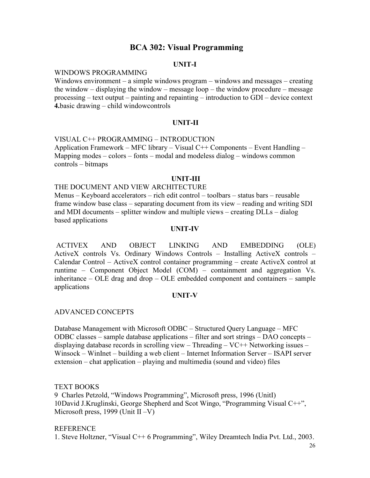## **BCA 302: Visual Programming**

## **UNIT-I**

#### WINDOWS PROGRAMMING

Windows environment – a simple windows program – windows and messages – creating the window – displaying the window – message loop – the window procedure – message processing – text output – painting and repainting – introduction to GDI – device context **4.**basic drawing – child windowcontrols

### **UNIT-II**

VISUAL C++ PROGRAMMING – INTRODUCTION Application Framework – MFC library – Visual C++ Components – Event Handling – Mapping modes – colors – fonts – modal and modeless dialog – windows common controls – bitmaps

#### **UNIT-III**

#### THE DOCUMENT AND VIEW ARCHITECTURE

Menus – Keyboard accelerators – rich edit control – toolbars – status bars – reusable frame window base class – separating document from its view – reading and writing SDI and MDI documents – splitter window and multiple views – creating DLLs – dialog based applications

## **UNIT-IV**

ACTIVEX AND OBJECT LINKING AND EMBEDDING (OLE) ActiveX controls Vs. Ordinary Windows Controls – Installing ActiveX controls – Calendar Control – ActiveX control container programming – create ActiveX control at runtime – Component Object Model (COM) – containment and aggregation Vs. inheritance – OLE drag and drop – OLE embedded component and containers – sample applications

#### **UNIT-V**

### ADVANCED CONCEPTS

Database Management with Microsoft ODBC – Structured Query Language – MFC ODBC classes – sample database applications – filter and sort strings – DAO concepts – displaying database records in scrolling view – Threading – VC++ Networking issues – Winsock – WinInet – building a web client – Internet Information Server – ISAPI server extension – chat application – playing and multimedia (sound and video) files

TEXT BOOKS

9 Charles Petzold, "Windows Programming", Microsoft press, 1996 (UnitI) 10David J.Kruglinski, George Shepherd and Scot Wingo, "Programming Visual C++", Microsoft press, 1999 (Unit II –V)

#### REFERENCE

1. Steve Holtzner, "Visual C++ 6 Programming", Wiley Dreamtech India Pvt. Ltd., 2003.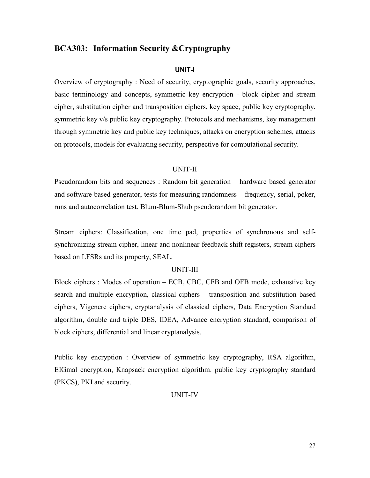## **BCA303: Information Security &Cryptography**

#### **UNIT-I**

Overview of cryptography : Need of security, cryptographic goals, security approaches, basic terminology and concepts, symmetric key encryption - block cipher and stream cipher, substitution cipher and transposition ciphers, key space, public key cryptography, symmetric key v/s public key cryptography. Protocols and mechanisms, key management through symmetric key and public key techniques, attacks on encryption schemes, attacks on protocols, models for evaluating security, perspective for computational security.

#### UNIT-II

Pseudorandom bits and sequences : Random bit generation – hardware based generator and software based generator, tests for measuring randomness – frequency, serial, poker, runs and autocorrelation test. Blum-Blum-Shub pseudorandom bit generator.

Stream ciphers: Classification, one time pad, properties of synchronous and selfsynchronizing stream cipher, linear and nonlinear feedback shift registers, stream ciphers based on LFSRs and its property, SEAL.

#### UNIT-III

Block ciphers : Modes of operation – ECB, CBC, CFB and OFB mode, exhaustive key search and multiple encryption, classical ciphers – transposition and substitution based ciphers, Vigenere ciphers, cryptanalysis of classical ciphers, Data Encryption Standard algorithm, double and triple DES, IDEA, Advance encryption standard, comparison of block ciphers, differential and linear cryptanalysis.

Public key encryption : Overview of symmetric key cryptography, RSA algorithm, EIGmal encryption, Knapsack encryption algorithm. public key cryptography standard (PKCS), PKI and security.

#### UNIT-IV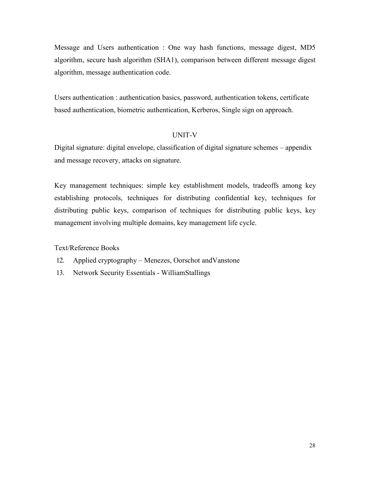Message and Users authentication : One way hash functions, message digest, MD5 algorithm, secure hash algorithm (SHA1), comparison between different message digest algorithm, message authentication code.

Users authentication : authentication basics, password, authentication tokens, certificate based authentication, biometric authentication, Kerberos, Single sign on approach.

## UNIT-V

Digital signature: digital envelope, classification of digital signature schemes – appendix and message recovery, attacks on signature.

Key management techniques: simple key establishment models, tradeoffs among key establishing protocols, techniques for distributing confidential key, techniques for distributing public keys, comparison of techniques for distributing public keys, key management involving multiple domains, key management life cycle.

Text/Reference Books

- 12. Applied cryptography Menezes, Oorschot andVanstone
- 13. Network Security Essentials WilliamStallings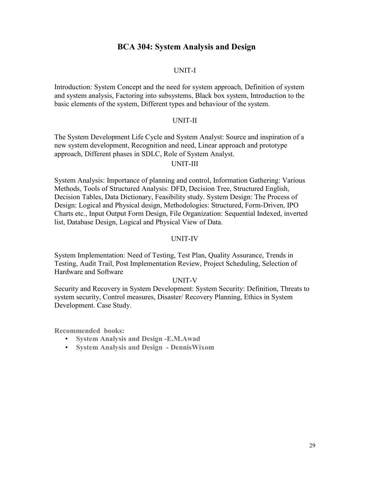## **BCA 304: System Analysis and Design**

#### UNIT-I

Introduction: System Concept and the need for system approach, Definition of system and system analysis, Factoring into subsystems, Black box system, Introduction to the basic elements of the system, Different types and behaviour of the system.

#### UNIT-II

The System Development Life Cycle and System Analyst: Source and inspiration of a new system development, Recognition and need, Linear approach and prototype approach, Different phases in SDLC, Role of System Analyst.

## UNIT-III

System Analysis: Importance of planning and control, Information Gathering: Various Methods, Tools of Structured Analysis: DFD, Decision Tree, Structured English, Decision Tables, Data Dictionary, Feasibility study. System Design: The Process of Design: Logical and Physical design, Methodologies: Structured, Form-Driven, IPO Charts etc., Input Output Form Design, File Organization: Sequential Indexed, inverted list, Database Design, Logical and Physical View of Data.

#### UNIT-IV

System Implementation: Need of Testing, Test Plan, Quality Assurance, Trends in Testing, Audit Trail, Post Implementation Review, Project Scheduling, Selection of Hardware and Software

### UNIT-V

Security and Recovery in System Development: System Security: Definition, Threats to system security, Control measures, Disaster/ Recovery Planning, Ethics in System Development. Case Study.

**Recommended books:**

- **System Analysis and Design -E.M.Awad**
- **System Analysis and Design DennisWixom**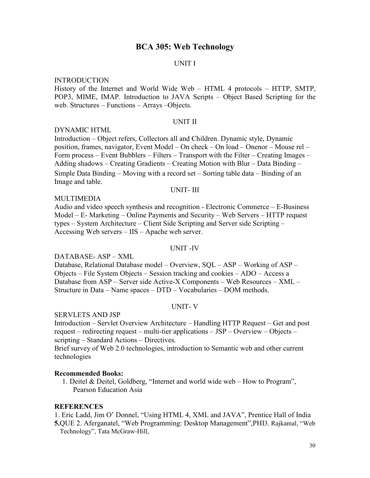## **BCA 305: Web Technology**

#### UNIT I

#### INTRODUCTION

History of the Internet and World Wide Web – HTML 4 protocols – HTTP, SMTP, POP3, MIME, IMAP. Introduction to JAVA Scripts – Object Based Scripting for the web. Structures – Functions – Arrays –Objects.

#### UNIT II

#### DYNAMIC HTML

Introduction – Object refers, Collectors all and Children. Dynamic style, Dynamic position, frames, navigator, Event Model – On check – On load – Onenor – Mouse rel – Form process – Event Bubblers – Filters – Transport with the Filter – Creating Images – Adding shadows – Creating Gradients – Creating Motion with Blur – Data Binding – Simple Data Binding – Moving with a record set – Sorting table data – Binding of an Image and table.

#### UNIT- III

#### MULTIMEDIA

Audio and video speech synthesis and recognition - Electronic Commerce – E-Business Model – E- Marketing – Online Payments and Security – Web Servers – HTTP request types – System Architecture – Client Side Scripting and Server side Scripting – Accessing Web servers – IIS – Apache web server.

#### UNIT -IV

#### DATABASE- ASP – XML

Database, Relational Database model – Overview, SQL – ASP – Working of ASP – Objects – File System Objects – Session tracking and cookies – ADO – Access a Database from ASP – Server side Active-X Components – Web Resources – XML – Structure in Data – Name spaces – DTD – Vocabularies – DOM methods.

#### UNIT- V

#### SERVLETS AND JSP

Introduction – Servlet Overview Architecture – Handling HTTP Request – Get and post request – redirecting request – multi-tier applications – JSP – Overview – Objects – scripting – Standard Actions – Directives.

Brief survey of Web 2.0 technologies, introduction to Semantic web and other current technologies

#### **Recommended Books:**

1. Deitel & Deitel, Goldberg, "Internet and world wide web – How to Program", Pearson Education Asia

#### **REFERENCES**

1. Eric Ladd, Jim O' Donnel, "Using HTML 4, XML and JAVA", Prentice Hall of India **5.**QUE 2. Aferganatel, "Web Programming: Desktop Management",PHI3. Rajkamal, "Web Technology", Tata McGraw-Hill,